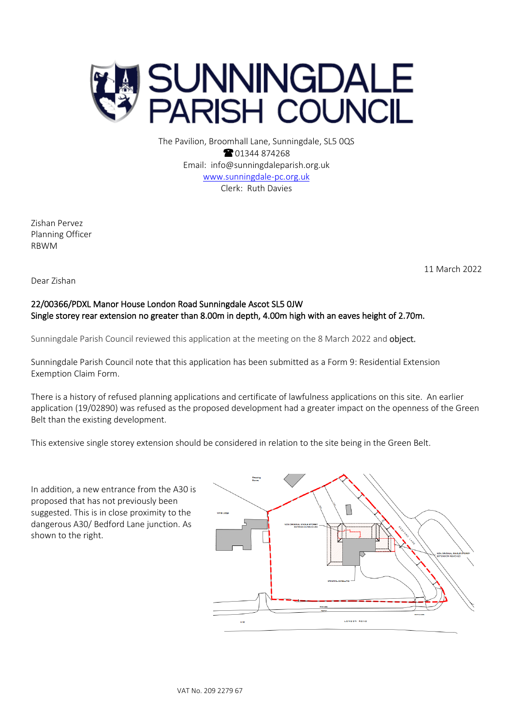

The Pavilion, Broomhall Lane, Sunningdale, SL5 0QS <sup>2</sup>01344 874268 Email: info@sunningdaleparish.org.uk [www.sunningdale-pc.org.uk](http://www.sunningdale-pc.org.uk/) Clerk: Ruth Davies

Zishan Pervez Planning Officer RBWM

11 March 2022

Dear Zishan

## 22/00366/PDXL Manor House London Road Sunningdale Ascot SL5 0JW Single storey rear extension no greater than 8.00m in depth, 4.00m high with an eaves height of 2.70m.

Sunningdale Parish Council reviewed this application at the meeting on the 8 March 2022 and object.

Sunningdale Parish Council note that this application has been submitted as a Form 9: Residential Extension Exemption Claim Form.

There is a history of refused planning applications and certificate of lawfulness applications on this site. An earlier application (19/02890) was refused as the proposed development had a greater impact on the openness of the Green Belt than the existing development.

This extensive single storey extension should be considered in relation to the site being in the Green Belt.

In addition, a new entrance from the A30 is proposed that has not previously been suggested. This is in close proximity to the dangerous A30/ Bedford Lane junction. As shown to the right.